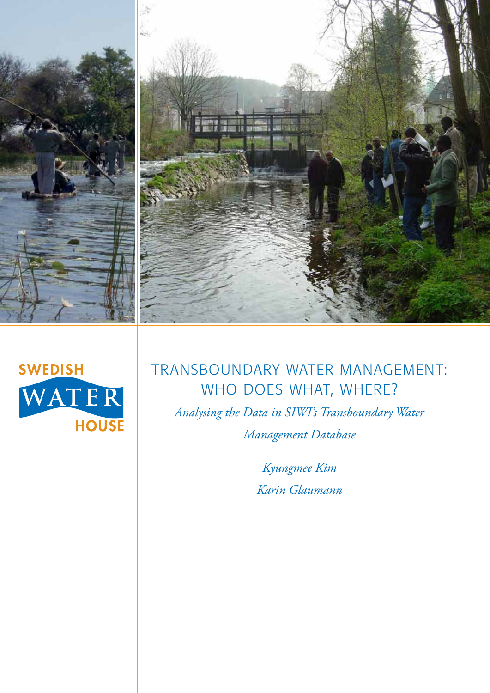



# Transboundary water management: WHO DOES WHAT, WHERE?

*Analysing the Data in SIWI's Transboundary Water Management Database*

> *Kyungmee Kim Karin Glaumann*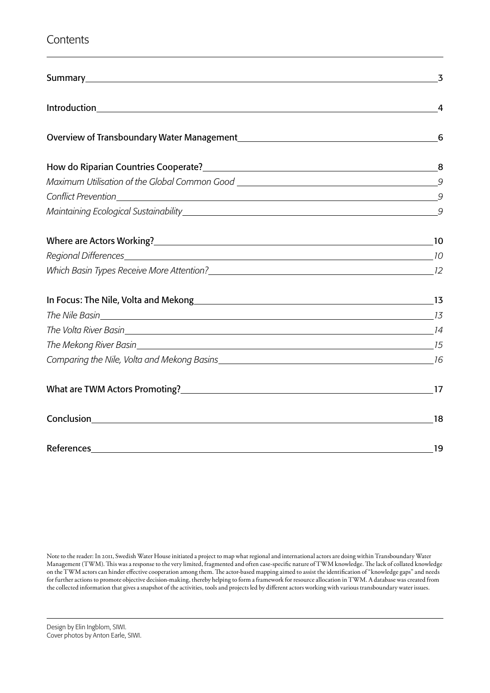## **Contents**

|                                   | 3 |
|-----------------------------------|---|
|                                   |   |
|                                   |   |
|                                   |   |
|                                   |   |
|                                   |   |
|                                   |   |
|                                   |   |
|                                   |   |
|                                   |   |
|                                   |   |
|                                   |   |
|                                   |   |
|                                   |   |
|                                   |   |
| What are TWM Actors Promoting? 17 |   |
|                                   |   |
|                                   |   |

Note to the reader: In 2011, Swedish Water House initiated a project to map what regional and international actors are doing within Transboundary Water Management (TWM). This was a response to the very limited, fragmented and often case-specific nature of TWM knowledge. The lack of collated knowledge on the TWM actors can hinder effective cooperation among them. The actor-based mapping aimed to assist the identification of "knowledge gaps" and needs for further actions to promote objective decision-making, thereby helping to form a framework for resource allocation in TWM. A database was created from the collected information that gives a snapshot of the activities, tools and projects led by different actors working with various transboundary water issues.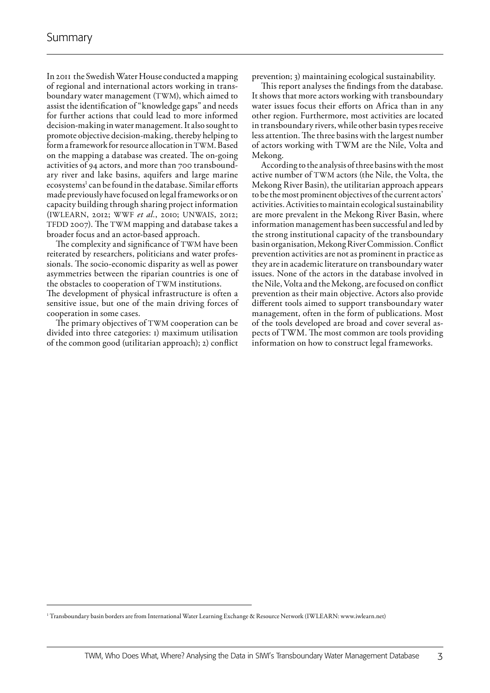In 2011 the Swedish Water House conducted a mapping of regional and international actors working in transboundary water management (TWM), which aimed to assist the identification of "knowledge gaps" and needs for further actions that could lead to more informed decision-making in water management. It also sought to promote objective decision-making, thereby helping to form a framework for resource allocation in TWM. Based on the mapping a database was created. The on-going activities of 94 actors, and more than 700 transboundary river and lake basins, aquifers and large marine ecosystems<sup>1</sup> can be found in the database. Similar efforts made previously have focused on legal frameworks or on capacity building through sharing project information (IWLEARN, 2012; WWF *et al.*, 2010; UNWAIS, 2012; TFDD 2007). The TWM mapping and database takes a broader focus and an actor-based approach.

The complexity and significance of TWM have been reiterated by researchers, politicians and water professionals. The socio-economic disparity as well as power asymmetries between the riparian countries is one of the obstacles to cooperation of TWM institutions.

The development of physical infrastructure is often a sensitive issue, but one of the main driving forces of cooperation in some cases.

The primary objectives of TWM cooperation can be divided into three categories: 1) maximum utilisation of the common good (utilitarian approach); 2) conflict

prevention; 3) maintaining ecological sustainability.

This report analyses the findings from the database. It shows that more actors working with transboundary water issues focus their efforts on Africa than in any other region. Furthermore, most activities are located in transboundary rivers, while other basin types receive less attention. The three basins with the largest number of actors working with TWM are the Nile, Volta and Mekong.

According to the analysis of three basins with the most active number of TWM actors (the Nile, the Volta, the Mekong River Basin), the utilitarian approach appears to be the most prominent objectives of the current actors' activities. Activities to maintain ecological sustainability are more prevalent in the Mekong River Basin, where information management has been successful and led by the strong institutional capacity of the transboundary basin organisation, Mekong River Commission. Conflict prevention activities are not as prominent in practice as they are in academic literature on transboundary water issues. None of the actors in the database involved in the Nile, Volta and the Mekong, are focused on conflict prevention as their main objective. Actors also provide different tools aimed to support transboundary water management, often in the form of publications. Most of the tools developed are broad and cover several aspects of TWM. The most common are tools providing information on how to construct legal frameworks.

<sup>1</sup> Transboundary basin borders are from International Water Learning Exchange & Resource Network (IWLEARN: www.iwlearn.net)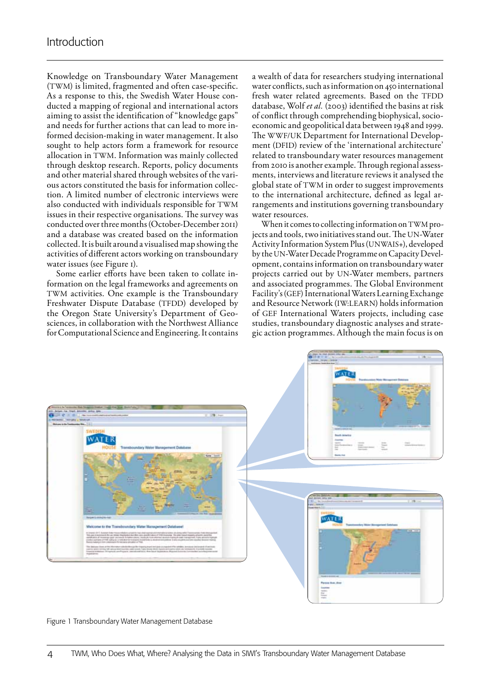Knowledge on Transboundary Water Management (TWM) is limited, fragmented and often case-specific. As a response to this, the Swedish Water House conducted a mapping of regional and international actors aiming to assist the identification of "knowledge gaps" and needs for further actions that can lead to more informed decision-making in water management. It also sought to help actors form a framework for resource allocation in TWM. Information was mainly collected through desktop research. Reports, policy documents and other material shared through websites of the various actors constituted the basis for information collection. A limited number of electronic interviews were also conducted with individuals responsible for TWM issues in their respective organisations. The survey was conducted over three months (October-December 2011) and a database was created based on the information collected. It is built around a visualised map showing the activities of different actors working on transboundary water issues (see Figure 1).

Some earlier efforts have been taken to collate information on the legal frameworks and agreements on TWM activities. One example is the Transboundary Freshwater Dispute Database (TFDD) developed by the Oregon State University's Department of Geosciences, in collaboration with the Northwest Alliance for Computational Science and Engineering. It contains a wealth of data for researchers studying international water conflicts, such as information on 450 international fresh water related agreements. Based on the TFDD database, Wolf et al. (2003) identified the basins at risk of conflict through comprehending biophysical, socioeconomic and geopolitical data between 1948 and 1999. The WWF/UK Department for International Development (DFID) review of the 'international architecture' related to transboundary water resources management from 2010 is another example. Through regional assessments, interviews and literature reviews it analysed the global state of TWM in order to suggest improvements to the international architecture, defined as legal arrangements and institutions governing transboundary water resources.

When it comes to collecting information on TWM projects and tools, two initiatives stand out. The UN-Water Activity Information System Plus (UNWAIS+), developed by the UN-Water Decade Programme on Capacity Development, contains information on transboundary water projects carried out by UN-Water members, partners and associated programmes. The Global Environment Facility's (GEF) International Waters Learning Exchange and Resource Network (IW:LEARN) holds information of GEF International Waters projects, including case studies, transboundary diagnostic analyses and strategic action programmes. Although the main focus is on



Figure 1 Transboundary Water Management Database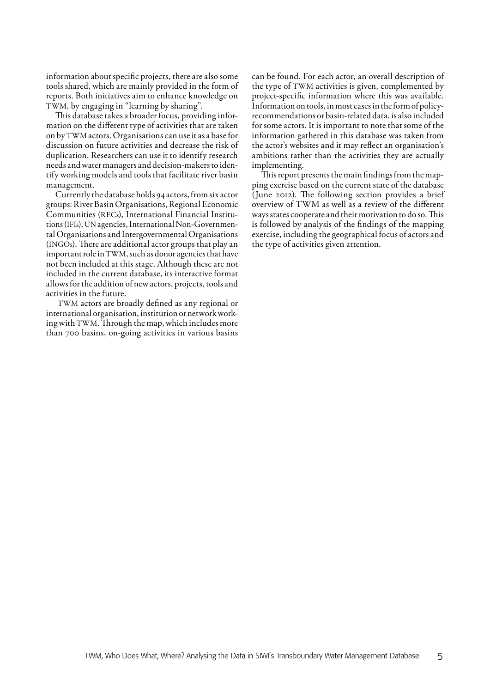information about specific projects, there are also some tools shared, which are mainly provided in the form of reports. Both initiatives aim to enhance knowledge on TWM, by engaging in "learning by sharing".

This database takes a broader focus, providing information on the different type of activities that are taken on by TWM actors. Organisations can use it as a base for discussion on future activities and decrease the risk of duplication. Researchers can use it to identify research needs and water managers and decision-makers to identify working models and tools that facilitate river basin management.

Currently the database holds 94 actors, from six actor groups: River Basin Organisations, Regional Economic Communities (RECs), International Financial Institutions (IFIs), UN agencies, International Non-Governmental Organisations and Intergovernmental Organisations (INGOs). There are additional actor groups that play an important role in TWM, such as donor agencies that have not been included at this stage. Although these are not included in the current database, its interactive format allows for the addition of new actors, projects, tools and activities in the future.

TWM actors are broadly defined as any regional or international organisation, institution or network working with TWM. Through the map, which includes more than 700 basins, on-going activities in various basins can be found. For each actor, an overall description of the type of TWM activities is given, complemented by project-specific information where this was available. Information on tools, in most cases in the form of policyrecommendations or basin-related data, is also included for some actors. It is important to note that some of the information gathered in this database was taken from the actor's websites and it may reflect an organisation's ambitions rather than the activities they are actually implementing.

This report presents the main findings from the mapping exercise based on the current state of the database (June 2012). The following section provides a brief overview of TWM as well as a review of the different ways states cooperate and their motivation to do so. This is followed by analysis of the findings of the mapping exercise, including the geographical focus of actors and the type of activities given attention.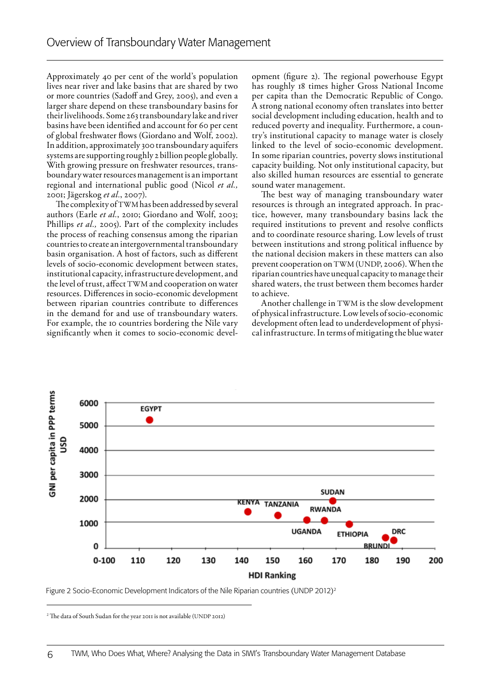Approximately 40 per cent of the world's population lives near river and lake basins that are shared by two or more countries (Sadoff and Grey, 2005), and even a larger share depend on these transboundary basins for their livelihoods. Some 263 transboundary lake and river basins have been identified and account for 60 per cent of global freshwater flows (Giordano and Wolf, 2002). In addition, approximately 300 transboundary aquifers systems are supporting roughly 2 billion people globally. With growing pressure on freshwater resources, transboundary water resources management is an important regional and international public good (Nicol *et al.,* 2001; Jägerskog *et al.*, 2007).

The complexity of TWM has been addressed by several authors (Earle *et al.*, 2010; Giordano and Wolf, 2003; Phillips *et al.,* 2005). Part of the complexity includes the process of reaching consensus among the riparian countries to create an intergovernmental transboundary basin organisation. A host of factors, such as different levels of socio-economic development between states, institutional capacity, infrastructure development, and the level of trust, affect TWM and cooperation on water resources. Differences in socio-economic development between riparian countries contribute to differences in the demand for and use of transboundary waters. For example, the 10 countries bordering the Nile vary significantly when it comes to socio-economic development (figure 2). The regional powerhouse Egypt has roughly 18 times higher Gross National Income per capita than the Democratic Republic of Congo. A strong national economy often translates into better social development including education, health and to reduced poverty and inequality. Furthermore, a country's institutional capacity to manage water is closely linked to the level of socio-economic development. In some riparian countries, poverty slows institutional capacity building. Not only institutional capacity, but also skilled human resources are essential to generate sound water management.

The best way of managing transboundary water resources is through an integrated approach. In practice, however, many transboundary basins lack the required institutions to prevent and resolve conflicts and to coordinate resource sharing. Low levels of trust between institutions and strong political influence by the national decision makers in these matters can also prevent cooperation on TWM (UNDP, 2006). When the riparian countries have unequal capacity to manage their shared waters, the trust between them becomes harder to achieve.

Another challenge in TWM is the slow development of physical infrastructure. Low levels of socio-economic development often lead to underdevelopment of physical infrastructure. In terms of mitigating the blue water



Figure 2 Socio-Economic Development Indicators of the Nile Riparian countries (UNDP 2012)2

<sup>2</sup> The data of South Sudan for the year 2011 is not available (UNDP 2012)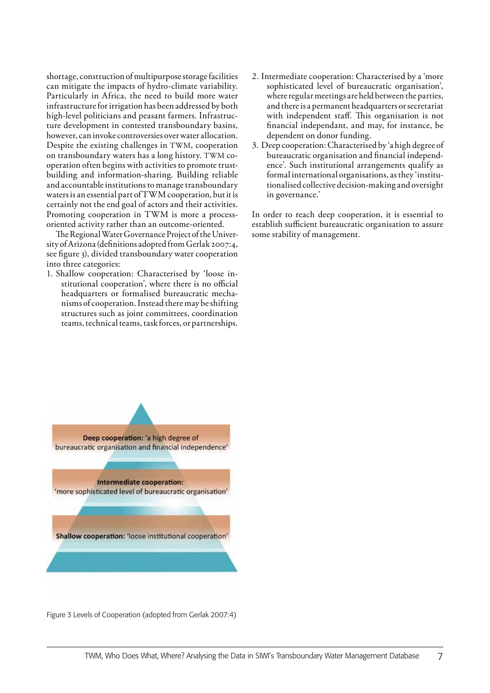shortage, construction of multipurpose storage facilities can mitigate the impacts of hydro-climate variability. Particularly in Africa, the need to build more water infrastructure for irrigation has been addressed by both high-level politicians and peasant farmers. Infrastructure development in contested transboundary basins, however, can invoke controversies over water allocation. Despite the existing challenges in TWM, cooperation on transboundary waters has a long history. TWM cooperation often begins with activities to promote trustbuilding and information-sharing. Building reliable and accountable institutions to manage transboundary waters is an essential part of TWM cooperation, but it is certainly not the end goal of actors and their activities. Promoting cooperation in TWM is more a processoriented activity rather than an outcome-oriented.

The Regional Water Governance Project of the University of Arizona (definitions adopted from Gerlak 2007:4, see figure 3), divided transboundary water cooperation into three categories:

1. Shallow cooperation: Characterised by 'loose institutional cooperation', where there is no official headquarters or formalised bureaucratic mechanisms of cooperation. Instead there may be shifting structures such as joint committees, coordination teams, technical teams, task forces, or partnerships.

- 2. Intermediate cooperation: Characterised by a 'more sophisticated level of bureaucratic organisation', where regular meetings are held between the parties, and there is a permanent headquarters or secretariat with independent staff. This organisation is not financial independant, and may, for instance, be dependent on donor funding.
- 3. Deep cooperation: Characterised by 'a high degree of bureaucratic organisation and financial independence'. Such institutional arrangements qualify as formal international organisations, as they 'institutionalised collective decision-making and oversight in governance.'

In order to reach deep cooperation, it is essential to establish sufficient bureaucratic organisation to assure some stability of management.



Figure 3 Levels of Cooperation (adopted from Gerlak 2007:4)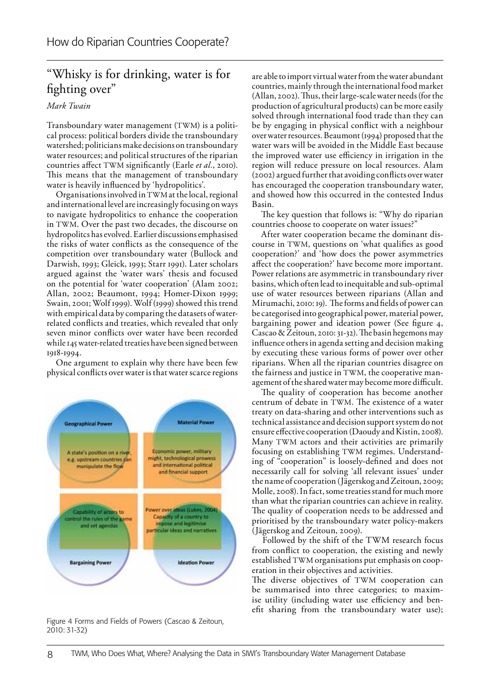## "Whisky is for drinking, water is for fighting over"

## *Mark Twain*

Transboundary water management (TWM) is a political process: political borders divide the transboundary watershed; politicians make decisions on transboundary water resources; and political structures of the riparian countries affect TWM significantly (Earle *et al.*, 2010). This means that the management of transboundary water is heavily influenced by 'hydropolitics'.

Organisations involved in TWM at the local, regional and international level are increasingly focusing on ways to navigate hydropolitics to enhance the cooperation in TWM. Over the past two decades, the discourse on hydropolitcs has evolved. Earlier discussions emphasised the risks of water conflicts as the consequence of the competition over transboundary water (Bullock and Darwish, 1993; Gleick, 1993; Starr 1991). Later scholars argued against the 'water wars' thesis and focused on the potential for 'water cooperation' (Alam 2002; Allan, 2002; Beaumont, 1994; Homer-Dixon 1999; Swain, 2001; Wolf 1999). Wolf (1999) showed this trend with empirical data by comparing the datasets of waterrelated conflicts and treaties, which revealed that only seven minor conflicts over water have been recorded while 145 water-related treaties have been signed between 1918-1994.

One argument to explain why there have been few physical conflicts over water is that water scarce regions



Figure 4 Forms and Fields of Powers (Cascao & Zeitoun, 2010: 31-32)

are able to import virtual water from the water abundant countries, mainly through the international food market (Allan, 2002). Thus, their large-scale water needs (for the production of agricultural products) can be more easily solved through international food trade than they can be by engaging in physical conflict with a neighbour over water resources. Beaumont (1994) proposed that the water wars will be avoided in the Middle East because the improved water use efficiency in irrigation in the region will reduce pressure on local resources. Alam (2002) argued further that avoiding conflicts over water has encouraged the cooperation transboundary water, and showed how this occurred in the contested Indus Basin.

The key question that follows is: "Why do riparian countries choose to cooperate on water issues?"

After water cooperation became the dominant discourse in TWM, questions on 'what qualifies as good cooperation?' and 'how does the power asymmetries affect the cooperation?' have become more important. Power relations are asymmetric in transboundary river basins, which often lead to inequitable and sub-optimal use of water resources between riparians (Allan and Mirumachi, 2010: 19). The forms and fields of power can be categorised into geographical power, material power, bargaining power and ideation power (See figure 4, Cascao & Zeitoun, 2010: 31-32). The basin hegemons may influence others in agenda setting and decision making by executing these various forms of power over other riparians. When all the riparian countries disagree on the fairness and justice in TWM, the cooperative management of the shared water may become more difficult.

The quality of cooperation has become another centrum of debate in TWM. The existence of a water treaty on data-sharing and other interventions such as technical assistance and decision support system do not ensure effective cooperation (Daoudy and Kistin, 2008). Many TWM actors and their activities are primarily focusing on establishing TWM regimes. Understanding of "cooperation" is loosely-defined and does not necessarily call for solving 'all relevant issues' under the name of cooperation (Jägerskog and Zeitoun, 2009; Molle, 2008). In fact, some treaties stand for much more than what the riparian countries can achieve in reality. The quality of cooperation needs to be addressed and prioritised by the transboundary water policy-makers (Jägerskog and Zeitoun, 2009).

 Followed by the shift of the TWM research focus from conflict to cooperation, the existing and newly established TWM organisations put emphasis on cooperation in their objectives and activities.

The diverse objectives of TWM cooperation can be summarised into three categories; to maximise utility (including water use efficiency and benefit sharing from the transboundary water use);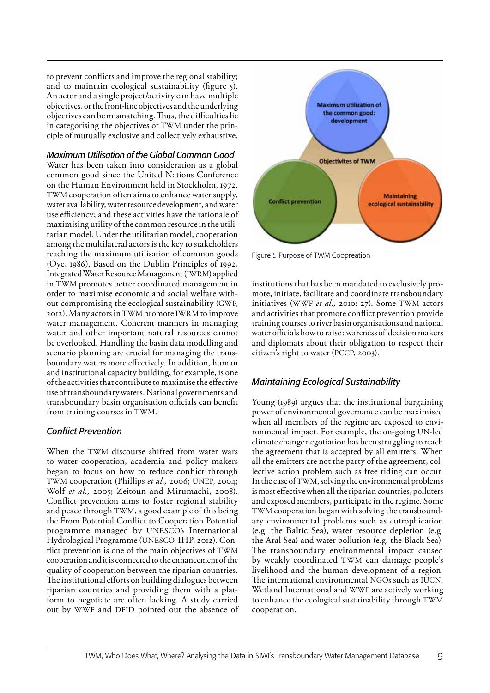to prevent conflicts and improve the regional stability; and to maintain ecological sustainability (figure 5). An actor and a single project/activity can have multiple objectives, or the front-line objectives and the underlying objectives can be mismatching. Thus, the difficulties lie in categorising the objectives of TWM under the principle of mutually exclusive and collectively exhaustive.

*Maximum Utilisation of the Global Common Good*  Water has been taken into consideration as a global common good since the United Nations Conference on the Human Environment held in Stockholm, 1972. TWM cooperation often aims to enhance water supply, water availability, water resource development, and water use efficiency; and these activities have the rationale of maximising utility of the common resource in the utilitarian model. Under the utilitarian model, cooperation among the multilateral actors is the key to stakeholders

reaching the maximum utilisation of common goods (Oye, 1986). Based on the Dublin Principles of 1992, Integrated Water Resource Management (IWRM) applied in TWM promotes better coordinated management in order to maximise economic and social welfare without compromising the ecological sustainability (GWP, 2012). Many actors in TWM promote IWRM to improve water management. Coherent manners in managing water and other important natural resources cannot be overlooked. Handling the basin data modelling and scenario planning are crucial for managing the transboundary waters more effectively. In addition, human and institutional capacity building, for example, is one of the activities that contribute to maximise the effective use of transboundary waters. National governments and transboundary basin organisation officials can benefit from training courses in TWM.

## *Conflict Prevention*

When the TWM discourse shifted from water wars to water cooperation, academia and policy makers began to focus on how to reduce conflict through TWM cooperation (Phillips *et al.,* 2006; UNEP, 2004; Wolf *et al.,* 2005; Zeitoun and Mirumachi, 2008). Conflict prevention aims to foster regional stability and peace through TWM, a good example of this being the From Potential Conflict to Cooperation Potential programme managed by UNESCO's International Hydrological Programme (UNESCO-IHP, 2012). Conflict prevention is one of the main objectives of TWM cooperation and it is connected to the enhancement of the quality of cooperation between the riparian countries. The institutional efforts on building dialogues between riparian countries and providing them with a platform to negotiate are often lacking. A study carried out by WWF and DFID pointed out the absence of



Figure 5 Purpose of TWM Coopreation

institutions that has been mandated to exclusively promote, initiate, facilitate and coordinate transboundary initiatives (WWF *et al.,* 2010: 27). Some TWM actors and activities that promote conflict prevention provide training courses to river basin organisations and national water officials how to raise awareness of decision makers and diplomats about their obligation to respect their citizen's right to water (PCCP, 2003).

## *Maintaining Ecological Sustainability*

Young (1989) argues that the institutional bargaining power of environmental governance can be maximised when all members of the regime are exposed to environmental impact. For example, the on-going UN-led climate change negotiation has been struggling to reach the agreement that is accepted by all emitters. When all the emitters are not the party of the agreement, collective action problem such as free riding can occur. In the case of TWM, solving the environmental problems is most effective when all the riparian countries, polluters and exposed members, participate in the regime. Some TWM cooperation began with solving the transboundary environmental problems such as eutrophication (e.g. the Baltic Sea), water resource depletion (e.g. the Aral Sea) and water pollution (e.g. the Black Sea). The transboundary environmental impact caused by weakly coordinated TWM can damage people's livelihood and the human development of a region. The international environmental NGOs such as IUCN, Wetland International and WWF are actively working to enhance the ecological sustainability through TWM cooperation.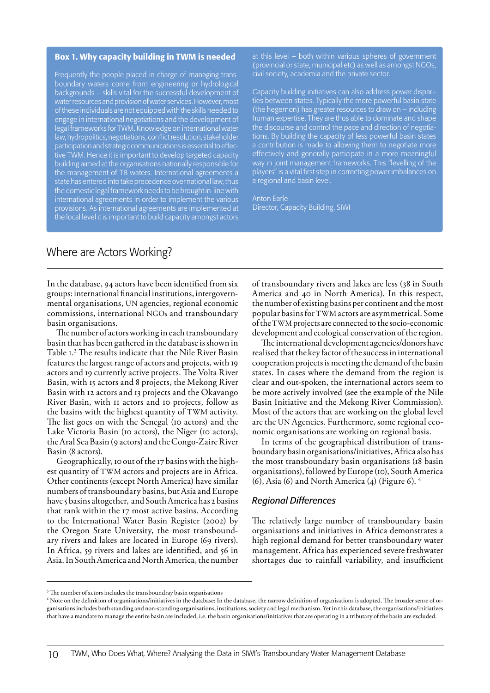#### Box 1. Why capacity building in TWM is needed

Frequently the people placed in charge of managing transboundary waters come from engineering or hydrological backgrounds – skills vital for the successful development of water resources and provision of water services. However, most of these individuals are not equipped with the skills needed to engage in international negotiations and the development of legal frameworks for TWM. Knowledge on international water law, hydropolitics, negotiations, conflict resolution, stakeholder participation and strategic communications is essential to effective TWM. Hence it is important to develop targeted capacity building aimed at the organisations nationally responsible for the management of TB waters. International agreements a state has entered into take precedence over national law, thus the domestic legal framework needs to be brought in-line with international agreements in order to implement the various provisions. As international agreements are implemented at the local level it is important to build capacity amongst actors

at this level – both within various spheres of government (provincial or state, municipal etc) as well as amongst NGOs, civil society, academia and the private sector.

Capacity building initiatives can also address power disparities between states. Typically the more powerful basin state (the hegemon) has greater resources to draw on – including human expertise. They are thus able to dominate and shape the discourse and control the pace and direction of negotiations. By building the capacity of less powerful basin states a contribution is made to allowing them to negotiate more effectively and generally participate in a more meaningful way in joint management frameworks. This "levelling of the players" is a vital first step in correcting power imbalances on a regional and basin level.

Anton Earle Director, Capacity Building, SIWI

## Where are Actors Working?

In the database, 94 actors have been identified from six groups: international financial institutions, intergovernmental organisations, UN agencies, regional economic commissions, international NGOs and transboundary basin organisations.

The number of actors working in each transboundary basin that has been gathered in the database is shown in Table 1.3 The results indicate that the Nile River Basin features the largest range of actors and projects, with 19 actors and 19 currently active projects. The Volta River Basin, with 15 actors and 8 projects, the Mekong River Basin with 12 actors and 13 projects and the Okavango River Basin, with 11 actors and 10 projects, follow as the basins with the highest quantity of TWM activity. The list goes on with the Senegal (10 actors) and the Lake Victoria Basin (10 actors), the Niger (10 actors), the Aral Sea Basin (9 actors) and the Congo-Zaire River Basin (8 actors).

Geographically, 10 out of the 17 basins with the highest quantity of TWM actors and projects are in Africa. Other continents (except North America) have similar numbers of transboundary basins, but Asia and Europe have 5 basins altogether, and South America has 2 basins that rank within the 17 most active basins. According to the International Water Basin Register (2002) by the Oregon State University, the most transboundary rivers and lakes are located in Europe (69 rivers). In Africa, 59 rivers and lakes are identified, and 56 in Asia. In South America and North America, the number

of transboundary rivers and lakes are less (38 in South America and 40 in North America). In this respect, the number of existing basins per continent and the most popular basins for TWM actors are asymmetrical. Some of the TWM projects are connected to the socio-economic development and ecological conservation of the region.

The international development agencies/donors have realised that the key factor of the success in international cooperation projects is meeting the demand of the basin states. In cases where the demand from the region is clear and out-spoken, the international actors seem to be more actively involved (see the example of the Nile Basin Initiative and the Mekong River Commission). Most of the actors that are working on the global level are the UN Agencies. Furthermore, some regional economic organisations are working on regional basis.

In terms of the geographical distribution of transboundary basin organisations/initiatives, Africa also has the most transboundary basin organisations (18 basin organisations), followed by Europe (10), South America (6), Asia (6) and North America (4) (Figure 6).  $4$ 

#### *Regional Differences*

The relatively large number of transboundary basin organisations and initiatives in Africa demonstrates a high regional demand for better transboundary water management. Africa has experienced severe freshwater shortages due to rainfall variability, and insufficient

 $\rm{^{3}}$  The number of actors includes the transboundray basin organisations

<sup>4</sup> Note on the definition of organisations/initiatives in the database: In the database, the narrow definition of organisations is adopted. The broader sense of organisations includes both standing and non-standing organisations, institutions, society and legal mechanism. Yet in this database, the organisations/initiatives that have a mandate to manage the entire basin are included, i.e. the basin organisations/initiatives that are operating in a tributary of the basin are excluded.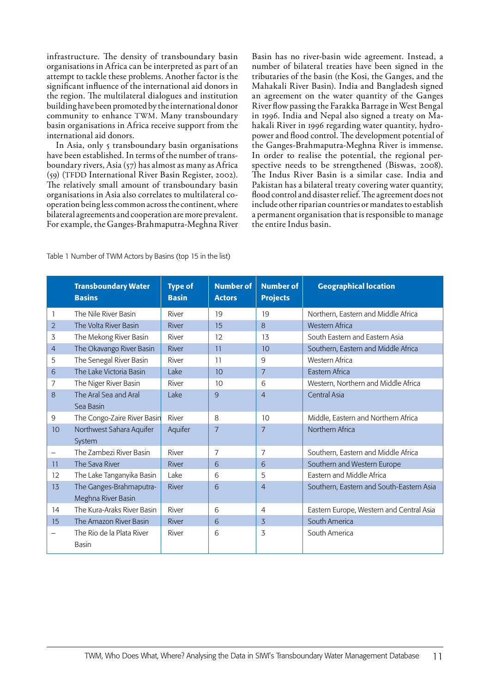infrastructure. The density of transboundary basin organisations in Africa can be interpreted as part of an attempt to tackle these problems. Another factor is the significant influence of the international aid donors in the region. The multilateral dialogues and institution building have been promoted by the international donor community to enhance TWM. Many transboundary basin organisations in Africa receive support from the international aid donors.

In Asia, only 5 transboundary basin organisations have been established. In terms of the number of transboundary rivers, Asia (57) has almost as many as Africa (59) (TFDD International River Basin Register, 2002). The relatively small amount of transboundary basin organisations in Asia also correlates to multilateral cooperation being less common across the continent, where bilateral agreements and cooperation are more prevalent. For example, the Ganges-Brahmaputra-Meghna River Basin has no river-basin wide agreement. Instead, a number of bilateral treaties have been signed in the tributaries of the basin (the Kosi, the Ganges, and the Mahakali River Basin). India and Bangladesh signed an agreement on the water quantity of the Ganges River flow passing the Farakka Barrage in West Bengal in 1996. India and Nepal also signed a treaty on Mahakali River in 1996 regarding water quantity, hydropower and flood control. The development potential of the Ganges-Brahmaputra-Meghna River is immense. In order to realise the potential, the regional perspective needs to be strengthened (Biswas, 2008). The Indus River Basin is a similar case. India and Pakistan has a bilateral treaty covering water quantity, flood control and disaster relief. The agreement does not include other riparian countries or mandates to establish a permanent organisation that is responsible to manage the entire Indus basin.

|                | <b>Transboundary Water</b><br><b>Basins</b> | <b>Type of</b><br><b>Basin</b> | <b>Number of</b><br><b>Actors</b> | <b>Number of</b><br><b>Projects</b> | <b>Geographical location</b>             |
|----------------|---------------------------------------------|--------------------------------|-----------------------------------|-------------------------------------|------------------------------------------|
|                | The Nile River Basin                        | River                          | 19                                | 19                                  | Northern, Eastern and Middle Africa      |
| $\overline{2}$ | The Volta River Basin                       | River                          | 15                                | 8                                   | <b>Western Africa</b>                    |
| 3              | The Mekong River Basin                      | River                          | 12                                | 13                                  | South Eastern and Eastern Asia           |
| $\overline{4}$ | The Okavango River Basin                    | River                          | 11                                | 10                                  | Southern, Eastern and Middle Africa      |
| 5              | The Senegal River Basin                     | River                          | 11                                | 9                                   | Western Africa                           |
| 6              | The Lake Victoria Basin                     | Lake                           | 10                                | $\overline{7}$                      | Eastern Africa                           |
| 7              | The Niger River Basin                       | River                          | 10                                | 6                                   | Western, Northern and Middle Africa      |
| 8              | The Aral Sea and Aral                       | Lake                           | 9                                 | $\overline{4}$                      | Central Asia                             |
|                | Sea Basin                                   |                                |                                   |                                     |                                          |
| 9              | The Congo-Zaire River Basin                 | River                          | 8                                 | 10                                  | Middle, Eastern and Northern Africa      |
| 10             | Northwest Sahara Aquifer                    | Aquifer                        | $\overline{7}$                    | $\overline{7}$                      | Northern Africa                          |
|                | System                                      |                                |                                   |                                     |                                          |
| -              | The Zambezi River Basin                     | River                          | $\overline{7}$                    | $\overline{7}$                      | Southern, Eastern and Middle Africa      |
| 11             | The Sava River                              | River                          | 6                                 | 6                                   | Southern and Western Europe              |
| 12             | The Lake Tanganyika Basin                   | Lake                           | 6                                 | 5                                   | Eastern and Middle Africa                |
| 13             | The Ganges-Brahmaputra-                     | River                          | 6                                 | $\overline{4}$                      | Southern, Eastern and South-Eastern Asia |
|                | Meghna River Basin                          |                                |                                   |                                     |                                          |
| 14             | The Kura-Araks River Basin                  | River                          | 6                                 | $\overline{4}$                      | Eastern Europe, Western and Central Asia |
| 15             | The Amazon River Basin                      | <b>River</b>                   | 6                                 | 3                                   | South America                            |
|                | The Rio de la Plata River<br>Basin          | River                          | 6                                 | 3                                   | South America                            |

Table 1 Number of TWM Actors by Basins (top 15 in the list)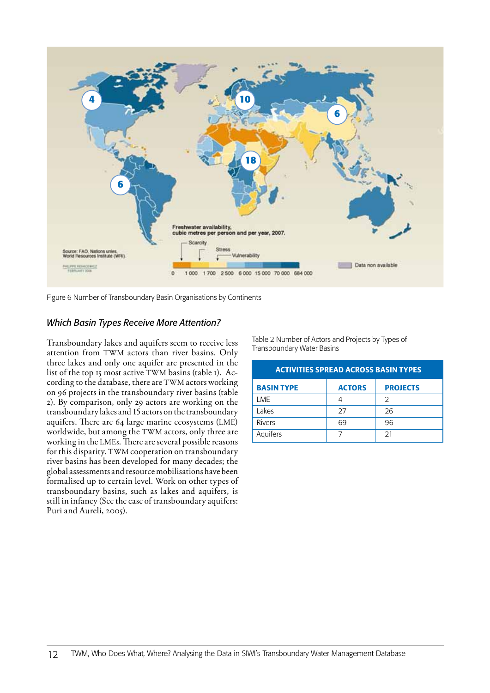

Figure 6 Number of Transboundary Basin Organisations by Continents

## *Which Basin Types Receive More Attention?*

Transboundary lakes and aquifers seem to receive less attention from TWM actors than river basins. Only three lakes and only one aquifer are presented in the list of the top 15 most active TWM basins (table 1). According to the database, there are TWM actors working on 96 projects in the transboundary river basins (table 2). By comparison, only 29 actors are working on the transboundary lakes and 15 actors on the transboundary aquifers. There are 64 large marine ecosystems (LME) worldwide, but among the TWM actors, only three are working in the LMEs. There are several possible reasons for this disparity. TWM cooperation on transboundary river basins has been developed for many decades; the global assessments and resource mobilisations have been formalised up to certain level. Work on other types of transboundary basins, such as lakes and aquifers, is still in infancy (See the case of transboundary aquifers: Puri and Aureli, 2005).

Table 2 Number of Actors and Projects by Types of Transboundary Water Basins

| <b>ACTIVITIES SPREAD ACROSS BASIN TYPES</b> |               |                 |  |  |  |
|---------------------------------------------|---------------|-----------------|--|--|--|
| <b>BASIN TYPE</b>                           | <b>ACTORS</b> | <b>PROJECTS</b> |  |  |  |
| LME                                         | 4             | $\mathcal{P}$   |  |  |  |
| Lakes                                       | 27            | 26              |  |  |  |
| <b>Rivers</b>                               | 69            | 96              |  |  |  |
| Aquifers                                    |               | 21              |  |  |  |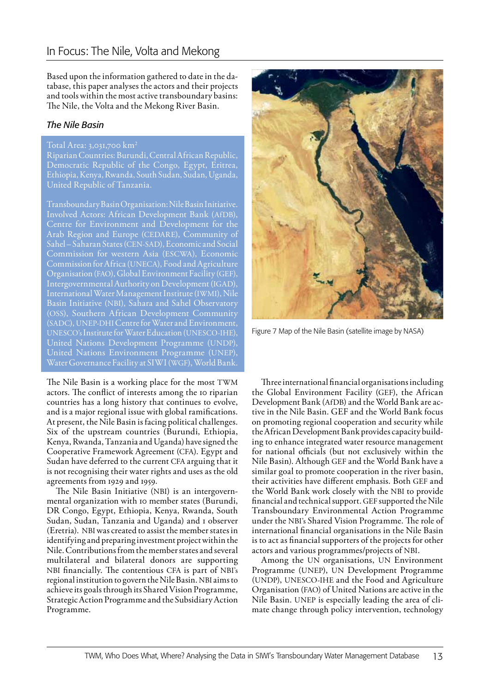Based upon the information gathered to date in the database, this paper analyses the actors and their projects and tools within the most active transboundary basins: The Nile, the Volta and the Mekong River Basin.

## *The Nile Basin*

#### Total Area: 3,031,700 km2

Riparian Countries: Burundi, Central African Republic, Democratic Republic of the Congo, Egypt, Eritrea, Ethiopia, Kenya, Rwanda, South Sudan, Sudan, Uganda, United Republic of Tanzania.

Transboundary Basin Organisation: Nile Basin Initiative. Involved Actors: African Development Bank (AfDB), Centre for Environment and Development for the Arab Region and Europe (CEDARE), Community of Sahel – Saharan States (CEN-SAD), Economic and Social Commission for western Asia (ESCWA), Economic Commission for Africa (UNECA), Food and Agriculture Organisation (FAO), Global Environment Facility (GEF), Intergovernmental Authority on Development (IGAD), International Water Management Institute (IWMI), Nile Basin Initiative (NBI), Sahara and Sahel Observatory (OSS), Southern African Development Community (SADC), UNEP-DHI Centre for Water and Environment, UNESCO's Institute for Water Education (UNESCO-IHE), United Nations Development Programme (UNDP), United Nations Environment Programme (UNEP), Water Governance Facility at SIWI (WGF), World Bank.

The Nile Basin is a working place for the most TWM actors. The conflict of interests among the 10 riparian countries has a long history that continues to evolve, and is a major regional issue with global ramifications. At present, the Nile Basin is facing political challenges. Six of the upstream countries (Burundi, Ethiopia, Kenya, Rwanda, Tanzania and Uganda) have signed the Cooperative Framework Agreement (CFA). Egypt and Sudan have deferred to the current CFA arguing that it is not recognising their water rights and uses as the old agreements from 1929 and 1959.

The Nile Basin Initiative (NBI) is an intergovernmental organization with 10 member states (Burundi, DR Congo, Egypt, Ethiopia, Kenya, Rwanda, South Sudan, Sudan, Tanzania and Uganda) and 1 observer (Eretria). NBI was created to assist the member states in identifying and preparing investment project within the Nile. Contributions from the member states and several multilateral and bilateral donors are supporting NBI financially. The contentious CFA is part of NBI's regional institution to govern the Nile Basin. NBI aims to achieve its goals through its Shared Vision Programme, Strategic Action Programme and the Subsidiary Action Programme.



Figure 7 Map of the Nile Basin (satellite image by NASA)

Three international financial organisations including the Global Environment Facility (GEF), the African Development Bank (AfDB) and the World Bank are active in the Nile Basin. GEF and the World Bank focus on promoting regional cooperation and security while the African Development Bank provides capacity building to enhance integrated water resource management for national officials (but not exclusively within the Nile Basin). Although GEF and the World Bank have a similar goal to promote cooperation in the river basin, their activities have different emphasis. Both GEF and the World Bank work closely with the NBI to provide financial and technical support. GEF supported the Nile Transboundary Environmental Action Programme under the NBI's Shared Vision Programme. The role of international financial organisations in the Nile Basin is to act as financial supporters of the projects for other actors and various programmes/projects of NBI.

Among the UN organisations, UN Environment Programme (UNEP), UN Development Programme (UNDP), UNESCO-IHE and the Food and Agriculture Organisation (FAO) of United Nations are active in the Nile Basin. UNEP is especially leading the area of climate change through policy intervention, technology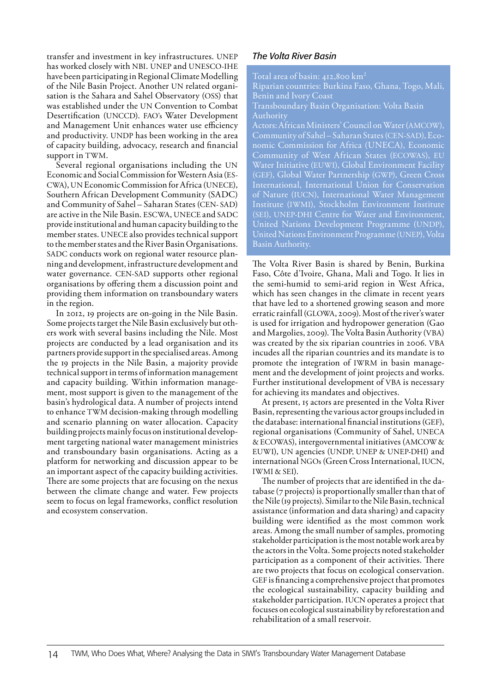transfer and investment in key infrastructures. UNEP has worked closely with NBI. UNEP and UNESCO-IHE have been participating in Regional Climate Modelling of the Nile Basin Project. Another UN related organisation is the Sahara and Sahel Observatory (OSS) that was established under the UN Convention to Combat Desertification (UNCCD). FAO's Water Development and Management Unit enhances water use efficiency and productivity. UNDP has been working in the area of capacity building, advocacy, research and financial support in TWM.

Several regional organisations including the UN Economic and Social Commission for Western Asia (ES-CWA), UN Economic Commission for Africa (UNECE), Southern African Development Community (SADC) and Community of Sahel – Saharan States (CEN- SAD) are active in the Nile Basin. ESCWA, UNECE and SADC provide institutional and human capacity building to the member states. UNECE also provides technical support to the member states and the River Basin Organisations. SADC conducts work on regional water resource planning and development, infrastructure development and water governance. CEN-SAD supports other regional organisations by offering them a discussion point and providing them information on transboundary waters in the region.

In 2012, 19 projects are on-going in the Nile Basin. Some projects target the Nile Basin exclusively but others work with several basins including the Nile. Most projects are conducted by a lead organisation and its partners provide support in the specialised areas. Among the 19 projects in the Nile Basin, a majority provide technical support in terms of information management and capacity building. Within information management, most support is given to the management of the basin's hydrological data. A number of projects intend to enhance TWM decision-making through modelling and scenario planning on water allocation. Capacity building projects mainly focus on institutional development targeting national water management ministries and transboundary basin organisations. Acting as a platform for networking and discussion appear to be an important aspect of the capacity building activities. There are some projects that are focusing on the nexus between the climate change and water. Few projects seem to focus on legal frameworks, conflict resolution and ecosystem conservation.

## *The Volta River Basin*

Total area of basin: 412,800 km2

Riparian countries: Burkina Faso, Ghana, Togo, Mali, Benin and Ivory Coast

Transboundary Basin Organisation: Volta Basin Authority

Actors: African Ministers' Council on Water (AMCOW), Community of Sahel – Saharan States (CEN-SAD), Economic Commission for Africa (UNECA), Economic Community of West African States (ECOWAS), EU Water Initiative (EUWI), Global Environment Facility (GEF), Global Water Partnership (GWP), Green Cross International, International Union for Conservation of Nature (IUCN), International Water Management Institute (IWMI), Stockholm Environment Institute (SEI), UNEP-DHI Centre for Water and Environment, United Nations Development Programme (UNDP), United Nations Environment Programme (UNEP), Volta Basin Authority.

The Volta River Basin is shared by Benin, Burkina Faso, Côte d'Ivoire, Ghana, Mali and Togo. It lies in the semi-humid to semi-arid region in West Africa, which has seen changes in the climate in recent years that have led to a shortened growing season and more erratic rainfall (GLOWA, 2009). Most of the river's water is used for irrigation and hydropower generation (Gao and Margolies, 2009). The Volta Basin Authority (VBA) was created by the six riparian countries in 2006. VBA incudes all the riparian countries and its mandate is to promote the integration of IWRM in basin management and the development of joint projects and works. Further institutional development of VBA is necessary for achieving its mandates and objectives.

At present, 15 actors are presented in the Volta River Basin, representing the various actor groups included in the database: international financial institutions (GEF), regional organisations (Community of Sahel, UNECA & ECOWAS), intergovernmental initiatives (AMCOW & EUWI), UN agencies (UNDP, UNEP & UNEP-DHI) and international NGOs (Green Cross International, IUCN, IWMI & SEI).

The number of projects that are identified in the database (7 projects) is proportionally smaller than that of the Nile (19 projects). Similar to the Nile Basin, technical assistance (information and data sharing) and capacity building were identified as the most common work areas. Among the small number of samples, promoting stakeholder participation is the most notable work area by the actors in the Volta. Some projects noted stakeholder participation as a component of their activities. There are two projects that focus on ecological conservation. GEF is financing a comprehensive project that promotes the ecological sustainability, capacity building and stakeholder participation. IUCN operates a project that focuses on ecological sustainability by reforestation and rehabilitation of a small reservoir.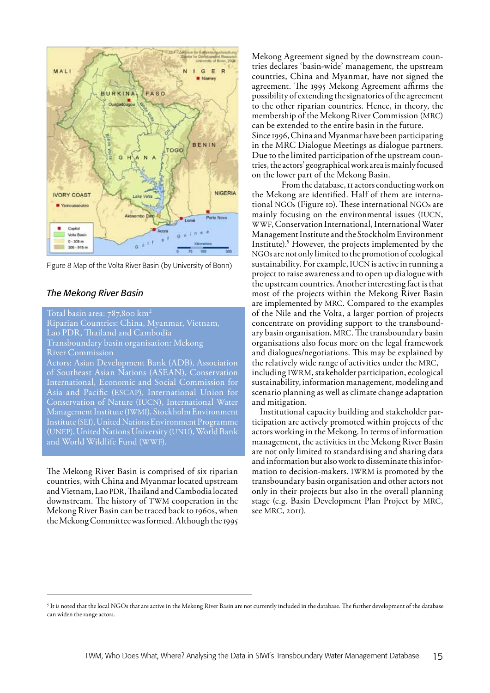

Figure 8 Map of the Volta River Basin (by University of Bonn)

### *The Mekong River Basin*

Total basin area: 787,800 km<sup>2</sup> Riparian Countries: China, Myanmar, Vietnam, Lao PDR, Thailand and Cambodia Transboundary basin organisation: Mekong River Commission Actors: Asian Development Bank (ADB), Association

of Southeast Asian Nations (ASEAN), Conservation Asia and Pacific (ESCAP), International Union for Conservation of Nature (IUCN), International Water Management Institute (IWMI), Stockholm Environment Institute (SEI), United Nations Environment Programme (UNEP), United Nations University (UNU), World Bank and World Wildlife Fund (WWF).

The Mekong River Basin is comprised of six riparian countries, with China and Myanmar located upstream and Vietnam, Lao PDR, Thailand and Cambodia located downstream. The history of TWM cooperation in the Mekong River Basin can be traced back to 1960s, when the Mekong Committee was formed. Although the 1995

Mekong Agreement signed by the downstream countries declares 'basin-wide' management, the upstream countries, China and Myanmar, have not signed the agreement. The 1995 Mekong Agreement affirms the possibility of extending the signatories of the agreement to the other riparian countries. Hence, in theory, the membership of the Mekong River Commission (MRC) can be extended to the entire basin in the future. Since 1996, China and Myanmar have been participating in the MRC Dialogue Meetings as dialogue partners. Due to the limited participation of the upstream countries, the actors' geographical work area is mainly focused on the lower part of the Mekong Basin.

From the database, 11 actors conducting work on the Mekong are identified. Half of them are international NGOs (Figure 10). These international NGOs are mainly focusing on the environmental issues (IUCN, WWF, Conservation International, International Water Management Institute and the Stockholm Environment Institute).5 However, the projects implemented by the NGOs are not only limited to the promotion of ecological sustainability. For example, IUCN is active in running a project to raise awareness and to open up dialogue with the upstream countries. Another interesting fact is that most of the projects within the Mekong River Basin are implemented by MRC. Compared to the examples of the Nile and the Volta, a larger portion of projects concentrate on providing support to the transboundary basin organisation, MRC. The transboundary basin organisations also focus more on the legal framework and dialogues/negotiations. This may be explained by the relatively wide range of activities under the MRC, including IWRM, stakeholder participation, ecological sustainability, information management, modeling and scenario planning as well as climate change adaptation and mitigation.

 Institutional capacity building and stakeholder participation are actively promoted within projects of the actors working in the Mekong. In terms of information management, the activities in the Mekong River Basin are not only limited to standardising and sharing data and information but also work to disseminate this information to decision-makers. IWRM is promoted by the transboundary basin organisation and other actors not only in their projects but also in the overall planning stage (e.g. Basin Development Plan Project by MRC, see MRC, 2011).

<sup>&</sup>lt;sup>5</sup> It is noted that the local NGOs that are active in the Mekong River Basin are not currently included in the database. The further development of the database can widen the range actors.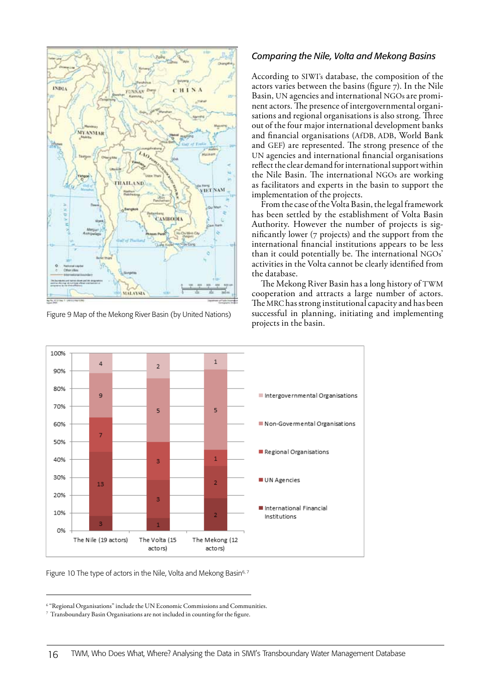

Figure 9 Map of the Mekong River Basin (by United Nations)

## *Comparing the Nile, Volta and Mekong Basins*

According to SIWI's database, the composition of the actors varies between the basins (figure 7). In the Nile Basin, UN agencies and international NGOs are prominent actors. The presence of intergovernmental organisations and regional organisations is also strong. Three out of the four major international development banks and financial organisations (AfDB, ADB, World Bank and GEF) are represented. The strong presence of the UN agencies and international financial organisations reflect the clear demand for international support within the Nile Basin. The international NGOs are working as facilitators and experts in the basin to support the implementation of the projects.

From the case of the Volta Basin, the legal framework has been settled by the establishment of Volta Basin Authority. However the number of projects is significantly lower (7 projects) and the support from the international financial institutions appears to be less than it could potentially be. The international NGOs' activities in the Volta cannot be clearly identified from the database.

The Mekong River Basin has a long history of TWM cooperation and attracts a large number of actors. The MRC has strong institutional capacity and has been successful in planning, initiating and implementing projects in the basin.





<sup>6</sup> "Regional Organisations" include the UN Economic Commissions and Communities.

 $^7\,$  Transboundary Basin Organisations are not included in counting for the figure.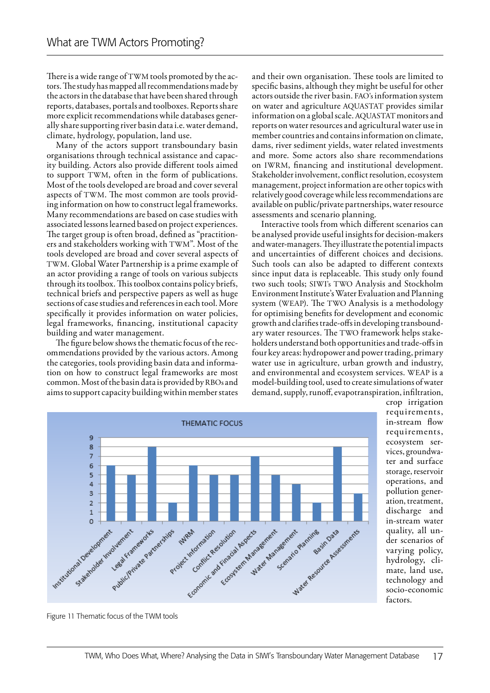There is a wide range of TWM tools promoted by the actors. The study has mapped all recommendations made by the actors in the database that have been shared through reports, databases, portals and toolboxes. Reports share more explicit recommendations while databases generally share supporting river basin data i.e. water demand, climate, hydrology, population, land use.

Many of the actors support transboundary basin organisations through technical assistance and capacity building. Actors also provide different tools aimed to support TWM, often in the form of publications. Most of the tools developed are broad and cover several aspects of TWM. The most common are tools providing information on how to construct legal frameworks. Many recommendations are based on case studies with associated lessons learned based on project experiences. The target group is often broad, defined as "practitioners and stakeholders working with TWM". Most of the tools developed are broad and cover several aspects of TWM. Global Water Partnership is a prime example of an actor providing a range of tools on various subjects through its toolbox. This toolbox contains policy briefs, technical briefs and perspective papers as well as huge sections of case studies and references in each tool. More specifically it provides information on water policies, legal frameworks, financing, institutional capacity building and water management.

The figure below shows the thematic focus of the recommendations provided by the various actors. Among the categories, tools providing basin data and information on how to construct legal frameworks are most common. Most of the basin data is provided by RBOs and aims to support capacity building within member states

and their own organisation. These tools are limited to specific basins, although they might be useful for other actors outside the river basin. FAO's information system on water and agriculture AQUASTAT provides similar information on a global scale. AQUASTAT monitors and reports on water resources and agricultural water use in member countries and contains information on climate, dams, river sediment yields, water related investments and more. Some actors also share recommendations on IWRM, financing and institutional development. Stakeholder involvement, conflict resolution, ecosystem management, project information are other topics with relatively good coverage while less recommendations are available on public/private partnerships, water resource assessments and scenario planning.

Interactive tools from which different scenarios can be analysed provide useful insights for decision-makers and water-managers. They illustrate the potential impacts and uncertainties of different choices and decisions. Such tools can also be adapted to different contexts since input data is replaceable. This study only found two such tools; SIWI's TWO Analysis and Stockholm Environment Institute's Water Evaluation and Planning system (WEAP). The TWO Analysis is a methodology for optimising benefits for development and economic growth and clarifies trade-offs in developing transboundary water resources. The TWO framework helps stakeholders understand both opportunities and trade-offs in four key areas: hydropower and power trading, primary water use in agriculture, urban growth and industry, and environmental and ecosystem services. WEAP is a model-building tool, used to create simulations of water demand, supply, runoff, evapotranspiration, infiltration,



crop irrigation requirements, in-stream flow requirements, ecosystem services, groundwater and surface storage, reservoir operations, and pollution generation, treatment, discharge and in-stream water quality, all under scenarios of varying policy, hydrology, climate, land use, technology and socio-economic factors.

Figure 11 Thematic focus of the TWM tools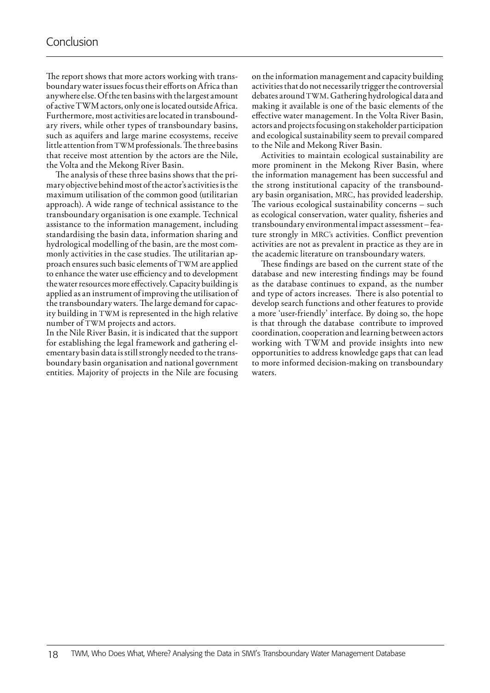The report shows that more actors working with transboundary water issues focus their efforts on Africa than anywhere else. Of the ten basins with the largest amount of active TWM actors, only one is located outside Africa. Furthermore, most activities are located in transboundary rivers, while other types of transboundary basins, such as aquifers and large marine ecosystems, receive little attention from TWM professionals. The three basins that receive most attention by the actors are the Nile, the Volta and the Mekong River Basin.

The analysis of these three basins shows that the primary objective behind most of the actor's activities is the maximum utilisation of the common good (utilitarian approach). A wide range of technical assistance to the transboundary organisation is one example. Technical assistance to the information management, including standardising the basin data, information sharing and hydrological modelling of the basin, are the most commonly activities in the case studies. The utilitarian approach ensures such basic elements of TWM are applied to enhance the water use efficiency and to development the water resources more effectively. Capacity building is applied as an instrument of improving the utilisation of the transboundary waters. The large demand for capacity building in TWM is represented in the high relative number of TWM projects and actors.

In the Nile River Basin, it is indicated that the support for establishing the legal framework and gathering elementary basin data is still strongly needed to the transboundary basin organisation and national government entities. Majority of projects in the Nile are focusing on the information management and capacity building activities that do not necessarily trigger the controversial debates around TWM. Gathering hydrological data and making it available is one of the basic elements of the effective water management. In the Volta River Basin, actors and projects focusing on stakeholder participation and ecological sustainability seem to prevail compared to the Nile and Mekong River Basin.

Activities to maintain ecological sustainability are more prominent in the Mekong River Basin, where the information management has been successful and the strong institutional capacity of the transboundary basin organisation, MRC, has provided leadership. The various ecological sustainability concerns – such as ecological conservation, water quality, fisheries and transboundary environmental impact assessment – feature strongly in MRC's activities. Conflict prevention activities are not as prevalent in practice as they are in the academic literature on transboundary waters.

These findings are based on the current state of the database and new interesting findings may be found as the database continues to expand, as the number and type of actors increases. There is also potential to develop search functions and other features to provide a more 'user-friendly' interface. By doing so, the hope is that through the database contribute to improved coordination, cooperation and learning between actors working with TWM and provide insights into new opportunities to address knowledge gaps that can lead to more informed decision-making on transboundary waters.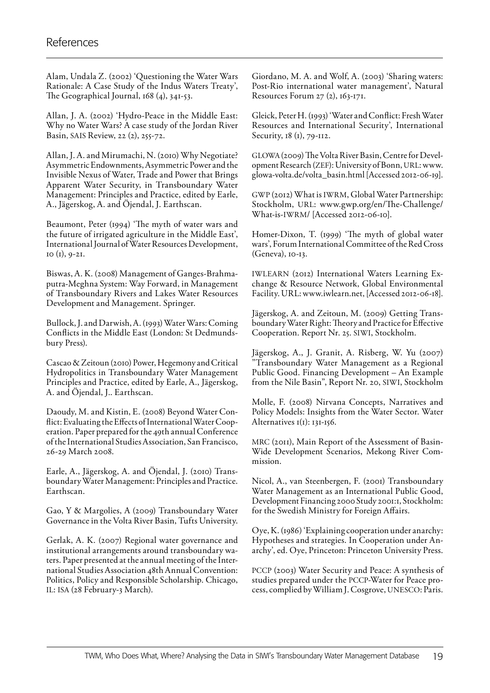Alam, Undala Z. (2002) 'Questioning the Water Wars Rationale: A Case Study of the Indus Waters Treaty', The Geographical Journal, 168 (4), 341-53.

Allan, J. A. (2002) 'Hydro-Peace in the Middle East: Why no Water Wars? A case study of the Jordan River Basin, SAIS Review, 22 (2), 255-72.

Allan, J. A. and Mirumachi, N. (2010) Why Negotiate? Asymmetric Endownments, Asymmetric Power and the Invisible Nexus of Water, Trade and Power that Brings Apparent Water Security, in Transboundary Water Management: Principles and Practice, edited by Earle, A., Jägerskog, A. and Öjendal, J. Earthscan.

Beaumont, Peter (1994) 'The myth of water wars and the future of irrigated agriculture in the Middle East', International Journal of Water Resources Development, 10  $(I)$ , 9-21.

Biswas, A. K. (2008) Management of Ganges-Brahmaputra-Meghna System: Way Forward, in Management of Transboundary Rivers and Lakes Water Resources Development and Management. Springer.

Bullock, J. and Darwish, A. (1993) Water Wars: Coming Conflicts in the Middle East (London: St Dedmundsbury Press).

Cascao & Zeitoun (2010) Power, Hegemony and Critical Hydropolitics in Transboundary Water Management Principles and Practice, edited by Earle, A., Jägerskog, A. and Öjendal, J.. Earthscan.

Daoudy, M. and Kistin, E. (2008) Beyond Water Conflict: Evaluating the Effects of International Water Cooperation. Paper prepared for the 49th annual Conference of the International Studies Association, San Francisco, 26-29 March 2008.

Earle, A., Jägerskog, A. and Öjendal, J. (2010) Transboundary Water Management: Principles and Practice. Earthscan.

Gao, Y & Margolies, A (2009) Transboundary Water Governance in the Volta River Basin, Tufts University.

Gerlak, A. K. (2007) Regional water governance and institutional arrangements around transboundary waters. Paper presented at the annual meeting of the International Studies Association 48th Annual Convention: Politics, Policy and Responsible Scholarship. Chicago, IL: ISA (28 February-3 March).

Giordano, M. A. and Wolf, A. (2003) 'Sharing waters: Post-Rio international water management', Natural Resources Forum 27 (2), 163-171.

Gleick, Peter H. (1993) 'Water and Conflict: Fresh Water Resources and International Security', International Security, 18 (1), 79-112.

GLOWA (2009) The Volta River Basin, Centre for Development Research (ZEF): University of Bonn, URL: www. glowa-volta.de/volta\_basin.html [Accessed 2012-06-19].

GWP (2012) What is IWRM, Global Water Partnership: Stockholm, URL: www.gwp.org/en/The-Challenge/ What-is-IWRM/ [Accessed 2012-06-10].

Homer-Dixon, T. (1999) 'The myth of global water wars', Forum International Committee of the Red Cross (Geneva), 10-13.

IWLEARN (2012) International Waters Learning Exchange & Resource Network, Global Environmental Facility. URL: www.iwlearn.net, [Accessed 2012-06-18].

Jägerskog, A. and Zeitoun, M. (2009) Getting Transboundary Water Right: Theory and Practice for Effective Cooperation. Report Nr. 25. SIWI, Stockholm.

Jägerskog, A., J. Granit, A. Risberg, W. Yu (2007) "Transboundary Water Management as a Regional Public Good. Financing Development – An Example from the Nile Basin", Report Nr. 20, SIWI, Stockholm

Molle, F. (2008) Nirvana Concepts, Narratives and Policy Models: Insights from the Water Sector. Water Alternatives 1(1): 131-156.

MRC (2011), Main Report of the Assessment of Basin-Wide Development Scenarios, Mekong River Commission.

Nicol, A., van Steenbergen, F. (2001) Transboundary Water Management as an International Public Good, Development Financing 2000 Study 2001:1, Stockholm: for the Swedish Ministry for Foreign Affairs.

Oye, K. (1986) 'Explaining cooperation under anarchy: Hypotheses and strategies. In Cooperation under Anarchy', ed. Oye, Princeton: Princeton University Press.

PCCP (2003) Water Security and Peace: A synthesis of studies prepared under the PCCP-Water for Peace process, complied by William J. Cosgrove, UNESCO: Paris.